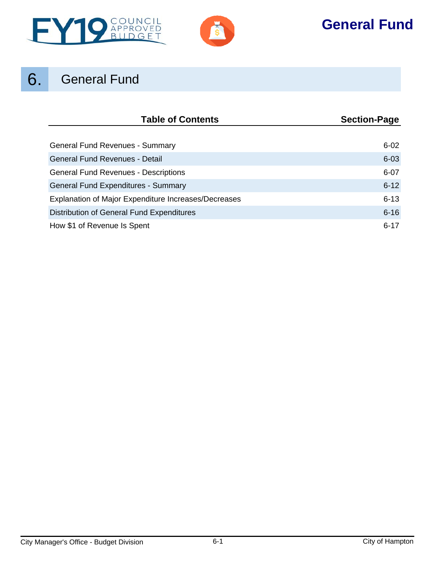



# **General Fund**

# 6. General Fund

| <b>Table of Contents</b>                                    | <b>Section-Page</b> |
|-------------------------------------------------------------|---------------------|
|                                                             |                     |
| <b>General Fund Revenues - Summary</b>                      | $6 - 02$            |
| General Fund Revenues - Detail                              | $6 - 03$            |
| <b>General Fund Revenues - Descriptions</b>                 | $6 - 07$            |
| <b>General Fund Expenditures - Summary</b>                  | $6 - 12$            |
| <b>Explanation of Major Expenditure Increases/Decreases</b> | $6 - 13$            |
| Distribution of General Fund Expenditures                   | $6 - 16$            |
| How \$1 of Revenue Is Spent                                 | $6 - 17$            |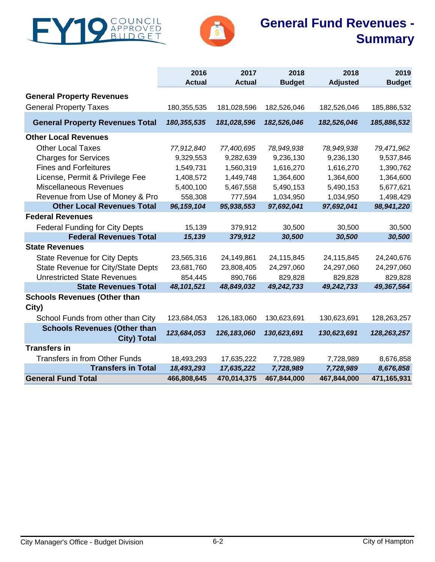



## **General Fund Revenues - Summary**

|                                           | 2016<br><b>Actual</b> | 2017<br><b>Actual</b> | 2018<br><b>Budget</b> | 2018<br><b>Adjusted</b> | 2019<br><b>Budget</b> |
|-------------------------------------------|-----------------------|-----------------------|-----------------------|-------------------------|-----------------------|
| <b>General Property Revenues</b>          |                       |                       |                       |                         |                       |
| <b>General Property Taxes</b>             | 180,355,535           | 181,028,596           | 182,526,046           | 182,526,046             | 185,886,532           |
|                                           |                       |                       |                       |                         |                       |
| <b>General Property Revenues Total</b>    | 180, 355, 535         | 181,028,596           | 182,526,046           | 182,526,046             | 185,886,532           |
| <b>Other Local Revenues</b>               |                       |                       |                       |                         |                       |
| <b>Other Local Taxes</b>                  | 77,912,840            | 77,400,695            | 78,949,938            | 78,949,938              | 79,471,962            |
| <b>Charges for Services</b>               | 9,329,553             | 9,282,639             | 9,236,130             | 9,236,130               | 9,537,846             |
| <b>Fines and Forfeitures</b>              | 1,549,731             | 1,560,319             | 1,616,270             | 1,616,270               | 1,390,762             |
| License, Permit & Privilege Fee           | 1,408,572             | 1,449,748             | 1,364,600             | 1,364,600               | 1,364,600             |
| <b>Miscellaneous Revenues</b>             | 5,400,100             | 5,467,558             | 5,490,153             | 5,490,153               | 5,677,621             |
| Revenue from Use of Money & Pro           | 558,308               | 777,594               | 1,034,950             | 1,034,950               | 1,498,429             |
| <b>Other Local Revenues Total</b>         | 96, 159, 104          | 95,938,553            | 97,692,041            | 97,692,041              | 98,941,220            |
| <b>Federal Revenues</b>                   |                       |                       |                       |                         |                       |
| <b>Federal Funding for City Depts</b>     | 15,139                | 379,912               | 30,500                | 30,500                  | 30,500                |
| <b>Federal Revenues Total</b>             | 15,139                | 379,912               | 30,500                | 30,500                  | 30,500                |
| <b>State Revenues</b>                     |                       |                       |                       |                         |                       |
| <b>State Revenue for City Depts</b>       | 23,565,316            | 24,149,861            | 24,115,845            | 24,115,845              | 24,240,676            |
| <b>State Revenue for City/State Depts</b> | 23,681,760            | 23,808,405            | 24,297,060            | 24,297,060              | 24,297,060            |
| <b>Unrestricted State Revenues</b>        | 854,445               | 890,766               | 829,828               | 829,828                 | 829,828               |
| <b>State Revenues Total</b>               | 48,101,521            | 48,849,032            | 49,242,733            | 49,242,733              | 49,367,564            |
| <b>Schools Revenues (Other than</b>       |                       |                       |                       |                         |                       |
| City)                                     |                       |                       |                       |                         |                       |
| School Funds from other than City         | 123,684,053           | 126,183,060           | 130,623,691           | 130,623,691             | 128,263,257           |
| <b>Schools Revenues (Other than</b>       | 123,684,053           | 126, 183, 060         | 130,623,691           | 130,623,691             | 128,263,257           |
| <b>City) Total</b>                        |                       |                       |                       |                         |                       |
| <b>Transfers in</b>                       |                       |                       |                       |                         |                       |
| <b>Transfers in from Other Funds</b>      | 18,493,293            | 17,635,222            | 7,728,989             | 7,728,989               | 8,676,858             |
| <b>Transfers in Total</b>                 | 18,493,293            | 17,635,222            | 7,728,989             | 7,728,989               | 8,676,858             |
| <b>General Fund Total</b>                 | 466,808,645           | 470,014,375           | 467,844,000           | 467,844,000             | 471,165,931           |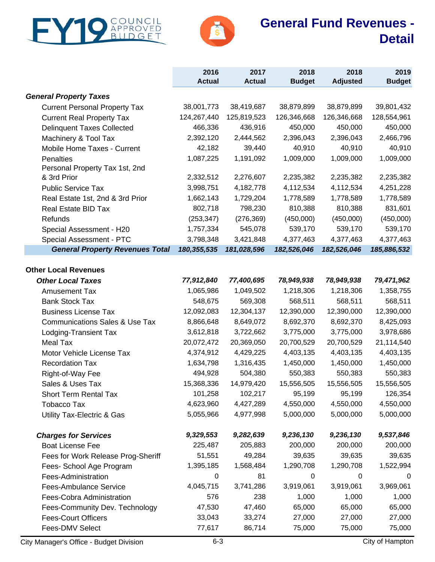



|                                           | 2016          | 2017          | 2018          | 2018            | 2019          |
|-------------------------------------------|---------------|---------------|---------------|-----------------|---------------|
|                                           | <b>Actual</b> | <b>Actual</b> | <b>Budget</b> | <b>Adjusted</b> | <b>Budget</b> |
| <b>General Property Taxes</b>             |               |               |               |                 |               |
| <b>Current Personal Property Tax</b>      | 38,001,773    | 38,419,687    | 38,879,899    | 38,879,899      | 39,801,432    |
| <b>Current Real Property Tax</b>          | 124,267,440   | 125,819,523   | 126,346,668   | 126,346,668     | 128,554,961   |
| <b>Delinquent Taxes Collected</b>         | 466,336       | 436,916       | 450,000       | 450,000         | 450,000       |
| Machinery & Tool Tax                      | 2,392,120     | 2,444,562     | 2,396,043     | 2,396,043       | 2,466,796     |
| Mobile Home Taxes - Current               | 42,182        | 39,440        | 40,910        | 40,910          | 40,910        |
| <b>Penalties</b>                          | 1,087,225     | 1,191,092     | 1,009,000     | 1,009,000       | 1,009,000     |
| Personal Property Tax 1st, 2nd            |               |               |               |                 |               |
| & 3rd Prior                               | 2,332,512     | 2,276,607     | 2,235,382     | 2,235,382       | 2,235,382     |
| <b>Public Service Tax</b>                 | 3,998,751     | 4,182,778     | 4,112,534     | 4,112,534       | 4,251,228     |
| Real Estate 1st, 2nd & 3rd Prior          | 1,662,143     | 1,729,204     | 1,778,589     | 1,778,589       | 1,778,589     |
| <b>Real Estate BID Tax</b>                | 802,718       | 798,230       | 810,388       | 810,388         | 831,601       |
| Refunds                                   | (253, 347)    | (276, 369)    | (450,000)     | (450,000)       | (450,000)     |
| Special Assessment - H20                  | 1,757,334     | 545,078       | 539,170       | 539,170         | 539,170       |
| Special Assessment - PTC                  | 3,798,348     | 3,421,848     | 4,377,463     | 4,377,463       | 4,377,463     |
| <b>General Property Revenues Total</b>    | 180, 355, 535 | 181,028,596   | 182,526,046   | 182,526,046     | 185,886,532   |
|                                           |               |               |               |                 |               |
| <b>Other Local Revenues</b>               |               |               |               |                 |               |
| <b>Other Local Taxes</b>                  | 77,912,840    | 77,400,695    | 78,949,938    | 78,949,938      | 79,471,962    |
| <b>Amusement Tax</b>                      | 1,065,986     | 1,049,502     | 1,218,306     | 1,218,306       | 1,358,755     |
| <b>Bank Stock Tax</b>                     | 548,675       | 569,308       | 568,511       | 568,511         | 568,511       |
| <b>Business License Tax</b>               | 12,092,083    | 12,304,137    | 12,390,000    | 12,390,000      | 12,390,000    |
| <b>Communications Sales &amp; Use Tax</b> | 8,866,648     | 8,649,072     | 8,692,370     | 8,692,370       | 8,425,093     |
| Lodging-Transient Tax                     | 3,612,818     | 3,722,662     | 3,775,000     | 3,775,000       | 3,978,686     |
| <b>Meal Tax</b>                           | 20,072,472    | 20,369,050    | 20,700,529    | 20,700,529      | 21,114,540    |
| Motor Vehicle License Tax                 | 4,374,912     | 4,429,225     | 4,403,135     | 4,403,135       | 4,403,135     |
| <b>Recordation Tax</b>                    | 1,634,798     | 1,316,435     | 1,450,000     | 1,450,000       | 1,450,000     |
| Right-of-Way Fee                          | 494,928       | 504,380       | 550,383       | 550,383         | 550,383       |
| Sales & Uses Tax                          | 15,368,336    | 14,979,420    | 15,556,505    | 15,556,505      | 15,556,505    |
| <b>Short Term Rental Tax</b>              | 101,258       | 102,217       | 95,199        | 95,199          | 126,354       |
| Tobacco Tax                               | 4,623,960     | 4,427,289     | 4,550,000     | 4,550,000       | 4,550,000     |
| Utility Tax-Electric & Gas                | 5,055,966     | 4,977,998     | 5,000,000     | 5,000,000       | 5,000,000     |
| <b>Charges for Services</b>               | 9,329,553     | 9,282,639     | 9,236,130     | 9,236,130       | 9,537,846     |
| <b>Boat License Fee</b>                   | 225,487       | 205,883       | 200,000       | 200,000         | 200,000       |
| Fees for Work Release Prog-Sheriff        | 51,551        | 49,284        | 39,635        | 39,635          | 39,635        |
| Fees- School Age Program                  | 1,395,185     | 1,568,484     | 1,290,708     | 1,290,708       | 1,522,994     |
| Fees-Administration                       | 0             | 81            | 0             | 0               | 0             |
| <b>Fees-Ambulance Service</b>             | 4,045,715     | 3,741,286     | 3,919,061     | 3,919,061       | 3,969,061     |
| Fees-Cobra Administration                 | 576           | 238           | 1,000         | 1,000           | 1,000         |
| Fees-Community Dev. Technology            | 47,530        | 47,460        | 65,000        | 65,000          | 65,000        |
| <b>Fees-Court Officers</b>                | 33,043        | 33,274        | 27,000        | 27,000          | 27,000        |
| Fees-DMV Select                           | 77,617        | 86,714        | 75,000        | 75,000          | 75,000        |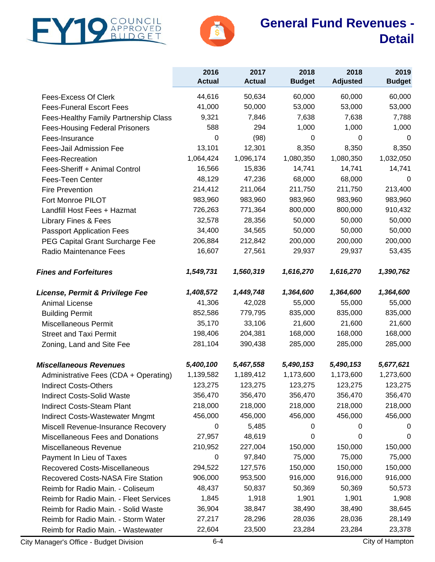



|                                        | 2016<br><b>Actual</b> | 2017<br><b>Actual</b> | 2018<br><b>Budget</b> | 2018<br><b>Adjusted</b> | 2019<br><b>Budget</b> |
|----------------------------------------|-----------------------|-----------------------|-----------------------|-------------------------|-----------------------|
| <b>Fees-Excess Of Clerk</b>            | 44,616                | 50,634                | 60,000                | 60,000                  | 60,000                |
| <b>Fees-Funeral Escort Fees</b>        | 41,000                | 50,000                | 53,000                | 53,000                  | 53,000                |
| Fees-Healthy Family Partnership Class  | 9,321                 | 7,846                 | 7,638                 | 7,638                   | 7,788                 |
| <b>Fees-Housing Federal Prisoners</b>  | 588                   | 294                   | 1,000                 | 1,000                   | 1,000                 |
| Fees-Insurance                         | 0                     | (98)                  | 0                     | 0                       | 0                     |
| Fees-Jail Admission Fee                | 13,101                | 12,301                | 8,350                 | 8,350                   | 8,350                 |
| Fees-Recreation                        | 1,064,424             | 1,096,174             | 1,080,350             | 1,080,350               | 1,032,050             |
| Fees-Sheriff + Animal Control          | 16,566                | 15,836                | 14,741                | 14,741                  | 14,741                |
| Fees-Teen Center                       | 48,129                | 47,236                | 68,000                | 68,000                  | 0                     |
| <b>Fire Prevention</b>                 | 214,412               | 211,064               | 211,750               | 211,750                 | 213,400               |
| Fort Monroe PILOT                      | 983,960               | 983,960               | 983,960               | 983,960                 | 983,960               |
| Landfill Host Fees + Hazmat            | 726,263               | 771,364               | 800,000               | 800,000                 | 910,432               |
| <b>Library Fines &amp; Fees</b>        | 32,578                | 28,356                | 50,000                | 50,000                  | 50,000                |
| <b>Passport Application Fees</b>       | 34,400                | 34,565                | 50,000                | 50,000                  | 50,000                |
| PEG Capital Grant Surcharge Fee        | 206,884               | 212,842               | 200,000               | 200,000                 | 200,000               |
| Radio Maintenance Fees                 | 16,607                | 27,561                | 29,937                | 29,937                  | 53,435                |
| <b>Fines and Forfeitures</b>           | 1,549,731             | 1,560,319             | 1,616,270             | 1,616,270               | 1,390,762             |
| License, Permit & Privilege Fee        | 1,408,572             | 1,449,748             | 1,364,600             | 1,364,600               | 1,364,600             |
| <b>Animal License</b>                  | 41,306                | 42,028                | 55,000                | 55,000                  | 55,000                |
| <b>Building Permit</b>                 | 852,586               | 779,795               | 835,000               | 835,000                 | 835,000               |
| Miscellaneous Permit                   | 35,170                | 33,106                | 21,600                | 21,600                  | 21,600                |
| <b>Street and Taxi Permit</b>          | 198,406               | 204,381               | 168,000               | 168,000                 | 168,000               |
| Zoning, Land and Site Fee              | 281,104               | 390,438               | 285,000               | 285,000                 | 285,000               |
| <b>Miscellaneous Revenues</b>          | 5,400,100             | 5,467,558             | 5,490,153             | 5,490,153               | 5,677,621             |
| Administrative Fees (CDA + Operating)  | 1,139,582             | 1,189,412             | 1,173,600             | 1,173,600               | 1,273,600             |
| <b>Indirect Costs-Others</b>           | 123,275               | 123,275               | 123,275               | 123,275                 | 123,275               |
| <b>Indirect Costs-Solid Waste</b>      | 356,470               | 356,470               | 356,470               | 356,470                 | 356,470               |
| Indirect Costs-Steam Plant             | 218,000               | 218,000               | 218,000               | 218,000                 | 218,000               |
| Indirect Costs-Wastewater Mngmt        | 456,000               | 456,000               | 456,000               | 456,000                 | 456,000               |
| Miscell Revenue-Insurance Recovery     | 0                     | 5,485                 | 0                     | 0                       | 0                     |
| Miscellaneous Fees and Donations       | 27,957                | 48,619                | 0                     | 0                       | 0                     |
| Miscellaneous Revenue                  | 210,952               | 227,004               | 150,000               | 150,000                 | 150,000               |
| Payment In Lieu of Taxes               | 0                     | 97,840                | 75,000                | 75,000                  | 75,000                |
| <b>Recovered Costs-Miscellaneous</b>   | 294,522               | 127,576               | 150,000               | 150,000                 | 150,000               |
| Recovered Costs-NASA Fire Station      | 906,000               | 953,500               | 916,000               | 916,000                 | 916,000               |
| Reimb for Radio Main. - Coliseum       | 48,437                | 50,837                | 50,369                | 50,369                  | 50,573                |
| Reimb for Radio Main. - Fleet Services | 1,845                 | 1,918                 | 1,901                 | 1,901                   | 1,908                 |
| Reimb for Radio Main. - Solid Waste    | 36,904                | 38,847                | 38,490                | 38,490                  | 38,645                |
| Reimb for Radio Main. - Storm Water    | 27,217                | 28,296                | 28,036                | 28,036                  | 28,149                |
| Reimb for Radio Main. - Wastewater     | 22,604                | 23,500                | 23,284                | 23,284                  | 23,378                |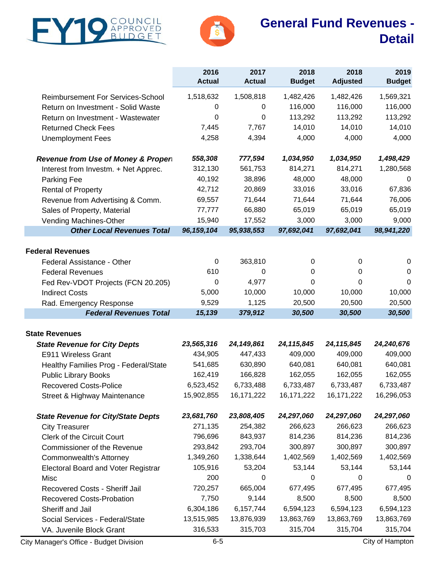



|                                            | 2016<br><b>Actual</b> | 2017<br><b>Actual</b> | 2018<br><b>Budget</b> | 2018<br><b>Adjusted</b> | 2019<br><b>Budget</b> |
|--------------------------------------------|-----------------------|-----------------------|-----------------------|-------------------------|-----------------------|
| <b>Reimbursement For Services-School</b>   | 1,518,632             | 1,508,818             | 1,482,426             | 1,482,426               | 1,569,321             |
| Return on Investment - Solid Waste         | 0                     | 0                     | 116,000               | 116,000                 | 116,000               |
| Return on Investment - Wastewater          | 0                     | 0                     | 113,292               | 113,292                 | 113,292               |
| <b>Returned Check Fees</b>                 | 7,445                 | 7,767                 | 14,010                | 14,010                  | 14,010                |
| <b>Unemployment Fees</b>                   | 4,258                 | 4,394                 | 4,000                 | 4,000                   | 4,000                 |
| Revenue from Use of Money & Proper         | 558,308               | 777,594               | 1,034,950             | 1,034,950               | 1,498,429             |
| Interest from Investm. + Net Apprec.       | 312,130               | 561,753               | 814,271               | 814,271                 | 1,280,568             |
| Parking Fee                                | 40,192                | 38,896                | 48,000                | 48,000                  | 0                     |
| <b>Rental of Property</b>                  | 42,712                | 20,869                | 33,016                | 33,016                  | 67,836                |
| Revenue from Advertising & Comm.           | 69,557                | 71,644                | 71,644                | 71,644                  | 76,006                |
| Sales of Property, Material                | 77,777                | 66,880                | 65,019                | 65,019                  | 65,019                |
| Vending Machines-Other                     | 15,940                | 17,552                | 3,000                 | 3,000                   | 9,000                 |
| <b>Other Local Revenues Total</b>          | 96, 159, 104          | 95,938,553            | 97,692,041            | 97,692,041              | 98,941,220            |
|                                            |                       |                       |                       |                         |                       |
| <b>Federal Revenues</b>                    |                       |                       |                       |                         |                       |
| Federal Assistance - Other                 | 0                     | 363,810               | 0                     | 0                       | 0                     |
| <b>Federal Revenues</b>                    | 610                   | 0                     | 0                     | 0                       | $\mathbf 0$           |
| Fed Rev-VDOT Projects (FCN 20.205)         | 0                     | 4,977                 | 0                     | 0                       | $\mathbf 0$           |
| <b>Indirect Costs</b>                      | 5,000                 | 10,000                | 10,000                | 10,000                  | 10,000                |
| Rad. Emergency Response                    | 9,529                 | 1,125                 | 20,500                | 20,500                  | 20,500                |
| <b>Federal Revenues Total</b>              | 15,139                | 379,912               | 30,500                | 30,500                  | 30,500                |
| <b>State Revenues</b>                      |                       |                       |                       |                         |                       |
| <b>State Revenue for City Depts</b>        | 23,565,316            | 24,149,861            | 24, 115, 845          | 24,115,845              | 24,240,676            |
| E911 Wireless Grant                        | 434,905               | 447,433               | 409,000               | 409,000                 | 409,000               |
| Healthy Families Prog - Federal/State      | 541,685               | 630,890               | 640,081               | 640,081                 | 640,081               |
| <b>Public Library Books</b>                | 162,419               | 166,828               | 162,055               | 162,055                 | 162,055               |
| <b>Recovered Costs-Police</b>              | 6,523,452             | 6,733,488             | 6,733,487             | 6,733,487               | 6,733,487             |
| Street & Highway Maintenance               | 15,902,855            | 16, 171, 222          | 16, 171, 222          | 16, 171, 222            | 16,296,053            |
| <b>State Revenue for City/State Depts</b>  | 23,681,760            | 23,808,405            | 24,297,060            | 24,297,060              | 24,297,060            |
| <b>City Treasurer</b>                      | 271,135               | 254,382               | 266,623               | 266,623                 | 266,623               |
| Clerk of the Circuit Court                 | 796,696               | 843,937               | 814,236               | 814,236                 | 814,236               |
| <b>Commissioner of the Revenue</b>         | 293,842               | 293,704               | 300,897               | 300,897                 | 300,897               |
| Commonwealth's Attorney                    | 1,349,260             | 1,338,644             | 1,402,569             | 1,402,569               | 1,402,569             |
| <b>Electoral Board and Voter Registrar</b> | 105,916               | 53,204                | 53,144                | 53,144                  | 53,144                |
| Misc                                       | 200                   | 0                     | 0                     | $\boldsymbol{0}$        | 0                     |
| Recovered Costs - Sheriff Jail             | 720,257               | 665,004               | 677,495               | 677,495                 | 677,495               |
| <b>Recovered Costs-Probation</b>           | 7,750                 | 9,144                 | 8,500                 | 8,500                   | 8,500                 |
| Sheriff and Jail                           | 6,304,186             | 6,157,744             | 6,594,123             | 6,594,123               | 6,594,123             |
| Social Services - Federal/State            | 13,515,985            | 13,876,939            | 13,863,769            | 13,863,769              | 13,863,769            |
| VA. Juvenile Block Grant                   | 316,533               | 315,703               | 315,704               | 315,704                 | 315,704               |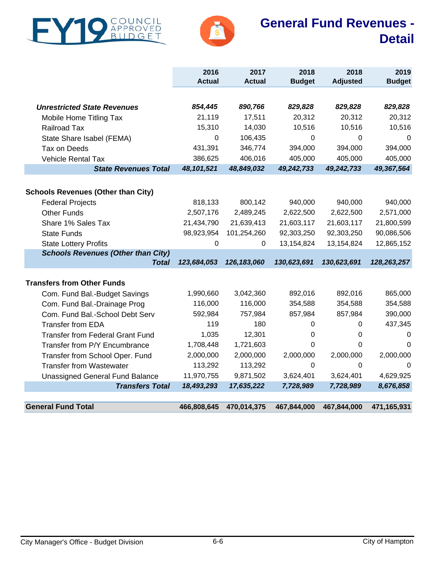



|                                                               | 2016<br><b>Actual</b> | 2017<br><b>Actual</b> | 2018<br><b>Budget</b> | 2018<br><b>Adjusted</b> | 2019<br><b>Budget</b> |
|---------------------------------------------------------------|-----------------------|-----------------------|-----------------------|-------------------------|-----------------------|
|                                                               |                       |                       |                       |                         |                       |
| <b>Unrestricted State Revenues</b>                            | 854,445               | 890,766               | 829,828               | 829,828                 | 829,828               |
| Mobile Home Titling Tax                                       | 21,119                | 17,511                | 20,312                | 20,312                  | 20,312                |
| <b>Railroad Tax</b>                                           | 15,310                | 14,030                | 10,516                | 10,516                  | 10,516                |
| State Share Isabel (FEMA)                                     | 0                     | 106,435               | 0                     | 0                       | 0                     |
| Tax on Deeds                                                  | 431,391               | 346,774               | 394,000               | 394,000                 | 394,000               |
| <b>Vehicle Rental Tax</b>                                     | 386,625               | 406,016               | 405,000               | 405,000                 | 405,000               |
| <b>State Revenues Total</b>                                   | 48, 101, 521          | 48,849,032            | 49,242,733            | 49,242,733              | 49,367,564            |
|                                                               |                       |                       |                       |                         |                       |
| <b>Schools Revenues (Other than City)</b>                     |                       |                       |                       |                         |                       |
| <b>Federal Projects</b>                                       | 818,133               | 800,142               | 940,000               | 940,000                 | 940,000               |
| <b>Other Funds</b>                                            | 2,507,176             | 2,489,245             | 2,622,500             | 2,622,500               | 2,571,000             |
| Share 1% Sales Tax                                            | 21,434,790            | 21,639,413            | 21,603,117            | 21,603,117              | 21,800,599            |
| <b>State Funds</b>                                            | 98,923,954            | 101,254,260           | 92,303,250            | 92,303,250              | 90,086,506            |
| <b>State Lottery Profits</b>                                  | $\boldsymbol{0}$      | 0                     | 13,154,824            | 13,154,824              | 12,865,152            |
| <b>Schools Revenues (Other than City)</b>                     |                       |                       |                       |                         |                       |
| <b>Total</b>                                                  | 123,684,053           | 126, 183, 060         | 130,623,691           | 130,623,691             | 128,263,257           |
| <b>Transfers from Other Funds</b>                             |                       |                       |                       |                         |                       |
|                                                               | 1,990,660             | 3,042,360             | 892,016               | 892,016                 | 865,000               |
| Com. Fund Bal.-Budget Savings<br>Com. Fund Bal.-Drainage Prog | 116,000               | 116,000               | 354,588               | 354,588                 | 354,588               |
| Com. Fund Bal.-School Debt Serv                               | 592,984               | 757,984               | 857,984               | 857,984                 | 390,000               |
| <b>Transfer from EDA</b>                                      | 119                   | 180                   | 0                     | 0                       | 437,345               |
| <b>Transfer from Federal Grant Fund</b>                       | 1,035                 | 12,301                | 0                     | 0                       | 0                     |
| Transfer from P/Y Encumbrance                                 | 1,708,448             | 1,721,603             | $\mathbf 0$           | 0                       | $\Omega$              |
| Transfer from School Oper. Fund                               | 2,000,000             | 2,000,000             | 2,000,000             | 2,000,000               | 2,000,000             |
| <b>Transfer from Wastewater</b>                               | 113,292               | 113,292               | 0                     | 0                       | $\Omega$              |
| <b>Unassigned General Fund Balance</b>                        | 11,970,755            | 9,871,502             | 3,624,401             | 3,624,401               | 4,629,925             |
| <b>Transfers Total</b>                                        | 18,493,293            | 17,635,222            | 7,728,989             | 7,728,989               | 8,676,858             |
|                                                               |                       |                       |                       |                         |                       |
| <b>General Fund Total</b>                                     | 466,808,645           | 470,014,375           | 467,844,000           | 467,844,000             | 471,165,931           |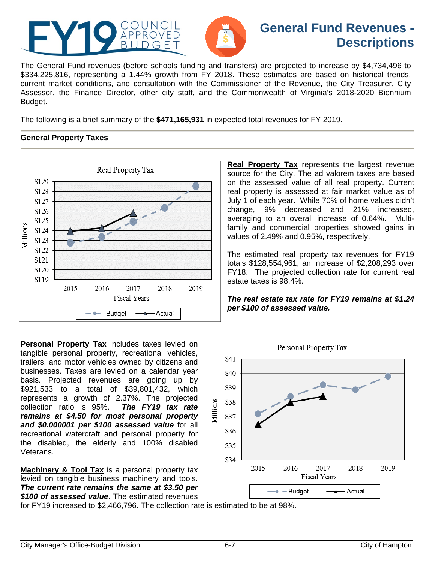



The General Fund revenues (before schools funding and transfers) are projected to increase by \$4,734,496 to \$334,225,816, representing a 1.44% growth from FY 2018. These estimates are based on historical trends, current market conditions, and consultation with the Commissioner of the Revenue, the City Treasurer, City Assessor, the Finance Director, other city staff, and the Commonwealth of Virginia's 2018-2020 Biennium Budget.

The following is a brief summary of the **\$471,165,931** in expected total revenues for FY 2019.

#### **General Property Taxes**



**Personal Property Tax** includes taxes levied on tangible personal property, recreational vehicles, trailers, and motor vehicles owned by citizens and businesses. Taxes are levied on a calendar year basis. Projected revenues are going up by \$921,533 to a total of \$39,801,432, which represents a growth of 2.37%. The projected collection ratio is 95%. *The FY19 tax rate remains at \$4.50 for most personal property and \$0.000001 per \$100 assessed value* for all recreational watercraft and personal property for the disabled, the elderly and 100% disabled Veterans.

**Machinery & Tool Tax** is a personal property tax levied on tangible business machinery and tools. *The current rate remains the same at \$3.50 per \$100 of assessed value*. The estimated revenues **Real Property Tax** represents the largest revenue source for the City. The ad valorem taxes are based on the assessed value of all real property. Current real property is assessed at fair market value as of July 1 of each year. While 70% of home values didn't change, 9% decreased and 21% increased, averaging to an overall increase of 0.64%. Multifamily and commercial properties showed gains in values of 2.49% and 0.95%, respectively.

The estimated real property tax revenues for FY19 totals \$128,554,961, an increase of \$2,208,293 over FY18. The projected collection rate for current real estate taxes is 98.4%.

*The real estate tax rate for FY19 remains at \$1.24 per \$100 of assessed value.* 



for FY19 increased to \$2,466,796. The collection rate is estimated to be at 98%.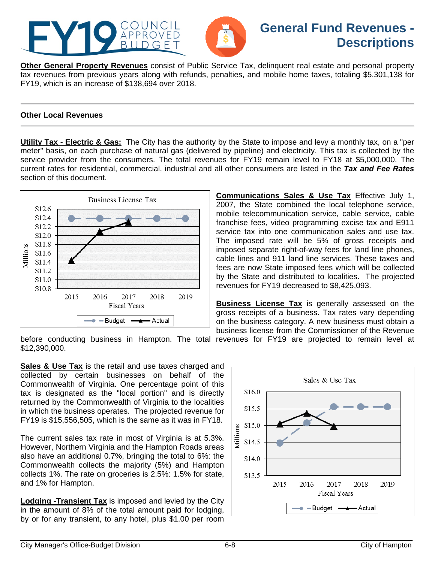



**Other General Property Revenues** consist of Public Service Tax, delinquent real estate and personal property tax revenues from previous years along with refunds, penalties, and mobile home taxes, totaling \$5,301,138 for FY19, which is an increase of \$138,694 over 2018.

#### **Other Local Revenues**

**Utility Tax - Electric & Gas:** The City has the authority by the State to impose and levy a monthly tax, on a "per meter" basis, on each purchase of natural gas (delivered by pipeline) and electricity. This tax is collected by the service provider from the consumers. The total revenues for FY19 remain level to FY18 at \$5,000,000. The current rates for residential, commercial, industrial and all other consumers are listed in the *Tax and Fee Rates* section of this document.



**Communications Sales & Use Tax** Effective July 1, 2007, the State combined the local telephone service, mobile telecommunication service, cable service, cable franchise fees, video programming excise tax and E911 service tax into one communication sales and use tax. The imposed rate will be 5% of gross receipts and imposed separate right-of-way fees for land line phones, cable lines and 911 land line services. These taxes and fees are now State imposed fees which will be collected by the State and distributed to localities. The projected revenues for FY19 decreased to \$8,425,093.

**Business License Tax** is generally assessed on the gross receipts of a business. Tax rates vary depending on the business category. A new business must obtain a business license from the Commissioner of the Revenue

before conducting business in Hampton. The total revenues for FY19 are projected to remain level at \$12,390,000.

**Sales & Use Tax** is the retail and use taxes charged and collected by certain businesses on behalf of the Commonwealth of Virginia. One percentage point of this tax is designated as the "local portion" and is directly returned by the Commonwealth of Virginia to the localities in which the business operates. The projected revenue for FY19 is \$15,556,505, which is the same as it was in FY18.

The current sales tax rate in most of Virginia is at 5.3%. However, Northern Virginia and the Hampton Roads areas also have an additional 0.7%, bringing the total to 6%: the Commonwealth collects the majority (5%) and Hampton collects 1%. The rate on groceries is 2.5%: 1.5% for state, and 1% for Hampton.

**Lodging -Transient Tax** is imposed and levied by the City in the amount of 8% of the total amount paid for lodging, by or for any transient, to any hotel, plus \$1.00 per room

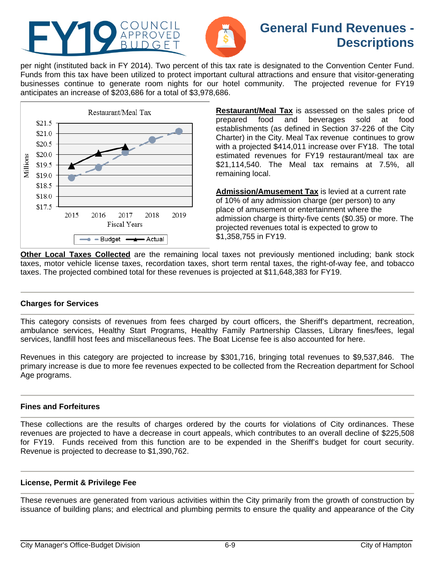



per night (instituted back in FY 2014). Two percent of this tax rate is designated to the Convention Center Fund. Funds from this tax have been utilized to protect important cultural attractions and ensure that visitor-generating businesses continue to generate room nights for our hotel community. The projected revenue for FY19 anticipates an increase of \$203,686 for a total of \$3,978,686.



**Restaurant/Meal Tax** is assessed on the sales price of prepared food and beverages sold at food establishments (as defined in Section 37-226 of the City Charter) in the City. Meal Tax revenue continues to grow with a projected \$414,011 increase over FY18. The total estimated revenues for FY19 restaurant/meal tax are \$21,114,540. The Meal tax remains at 7.5%, all remaining local.

**Admission/Amusement Tax** is levied at a current rate of 10% of any admission charge (per person) to any place of amusement or entertainment where the admission charge is thirty-five cents (\$0.35) or more. The projected revenues total is expected to grow to \$1,358,755 in FY19.

**Other Local Taxes Collected** are the remaining local taxes not previously mentioned including; bank stock taxes, motor vehicle license taxes, recordation taxes, short term rental taxes, the right-of-way fee, and tobacco taxes. The projected combined total for these revenues is projected at \$11,648,383 for FY19.

#### **Charges for Services**

This category consists of revenues from fees charged by court officers, the Sheriff's department, recreation, ambulance services, Healthy Start Programs, Healthy Family Partnership Classes, Library fines/fees, legal services, landfill host fees and miscellaneous fees. The Boat License fee is also accounted for here.

Revenues in this category are projected to increase by \$301,716, bringing total revenues to \$9,537,846. The primary increase is due to more fee revenues expected to be collected from the Recreation department for School Age programs.

#### **Fines and Forfeitures**

These collections are the results of charges ordered by the courts for violations of City ordinances. These revenues are projected to have a decrease in court appeals, which contributes to an overall decline of \$225,508 for FY19. Funds received from this function are to be expended in the Sheriff's budget for court security. Revenue is projected to decrease to \$1,390,762.

#### **License, Permit & Privilege Fee**

These revenues are generated from various activities within the City primarily from the growth of construction by issuance of building plans; and electrical and plumbing permits to ensure the quality and appearance of the City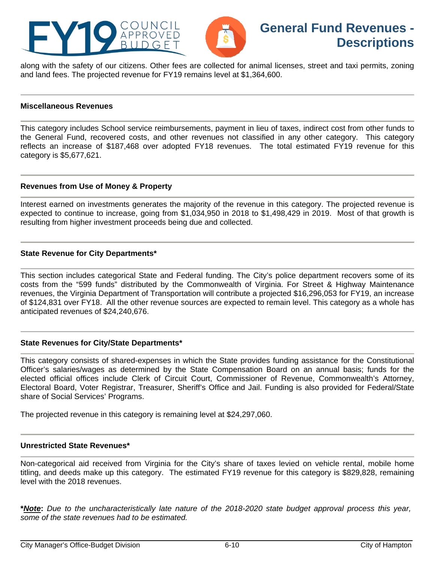



along with the safety of our citizens. Other fees are collected for animal licenses, street and taxi permits, zoning and land fees. The projected revenue for FY19 remains level at \$1,364,600.

#### **Miscellaneous Revenues**

This category includes School service reimbursements, payment in lieu of taxes, indirect cost from other funds to the General Fund, recovered costs, and other revenues not classified in any other category. This category reflects an increase of \$187,468 over adopted FY18 revenues. The total estimated FY19 revenue for this category is \$5,677,621.

#### **Revenues from Use of Money & Property**

Interest earned on investments generates the majority of the revenue in this category. The projected revenue is expected to continue to increase, going from \$1,034,950 in 2018 to \$1,498,429 in 2019. Most of that growth is resulting from higher investment proceeds being due and collected.

#### **State Revenue for City Departments\***

This section includes categorical State and Federal funding. The City's police department recovers some of its costs from the "599 funds" distributed by the Commonwealth of Virginia. For Street & Highway Maintenance revenues, the Virginia Department of Transportation will contribute a projected \$16,296,053 for FY19, an increase of \$124,831 over FY18. All the other revenue sources are expected to remain level. This category as a whole has anticipated revenues of \$24,240,676.

#### **State Revenues for City/State Departments\***

This category consists of shared-expenses in which the State provides funding assistance for the Constitutional Officer's salaries/wages as determined by the State Compensation Board on an annual basis; funds for the elected official offices include Clerk of Circuit Court, Commissioner of Revenue, Commonwealth's Attorney, Electoral Board, Voter Registrar, Treasurer, Sheriff's Office and Jail. Funding is also provided for Federal/State share of Social Services' Programs.

The projected revenue in this category is remaining level at \$24,297,060.

#### **Unrestricted State Revenues\***

Non-categorical aid received from Virginia for the City's share of taxes levied on vehicle rental, mobile home titling, and deeds make up this category. The estimated FY19 revenue for this category is \$829,828, remaining level with the 2018 revenues.

**\****Note***:** *Due to the uncharacteristically late nature of the 2018-2020 state budget approval process this year, some of the state revenues had to be estimated.*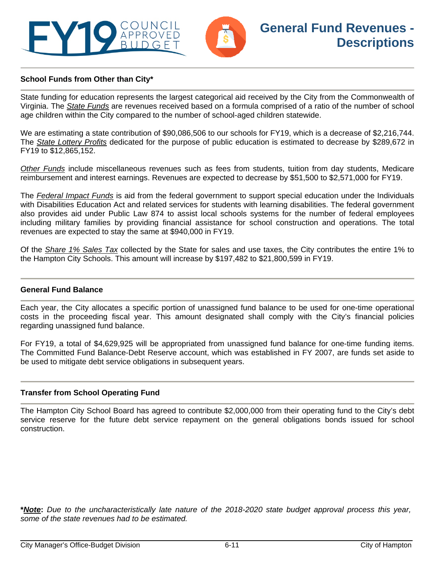



#### **School Funds from Other than City\***

State funding for education represents the largest categorical aid received by the City from the Commonwealth of Virginia. The *State Funds* are revenues received based on a formula comprised of a ratio of the number of school age children within the City compared to the number of school-aged children statewide.

We are estimating a state contribution of \$90,086,506 to our schools for FY19, which is a decrease of \$2,216,744. The *State Lottery Profits* dedicated for the purpose of public education is estimated to decrease by \$289,672 in FY19 to \$12,865,152.

*Other Funds* include miscellaneous revenues such as fees from students, tuition from day students, Medicare reimbursement and interest earnings. Revenues are expected to decrease by \$51,500 to \$2,571,000 for FY19.

The *Federal Impact Funds* is aid from the federal government to support special education under the Individuals with Disabilities Education Act and related services for students with learning disabilities. The federal government also provides aid under Public Law 874 to assist local schools systems for the number of federal employees including military families by providing financial assistance for school construction and operations. The total revenues are expected to stay the same at \$940,000 in FY19.

Of the *Share 1% Sales Tax* collected by the State for sales and use taxes, the City contributes the entire 1% to the Hampton City Schools. This amount will increase by \$197,482 to \$21,800,599 in FY19.

#### **General Fund Balance**

Each year, the City allocates a specific portion of unassigned fund balance to be used for one-time operational costs in the proceeding fiscal year. This amount designated shall comply with the City's financial policies regarding unassigned fund balance.

For FY19, a total of \$4,629,925 will be appropriated from unassigned fund balance for one-time funding items. The Committed Fund Balance-Debt Reserve account, which was established in FY 2007, are funds set aside to be used to mitigate debt service obligations in subsequent years.

#### **Transfer from School Operating Fund**

The Hampton City School Board has agreed to contribute \$2,000,000 from their operating fund to the City's debt service reserve for the future debt service repayment on the general obligations bonds issued for school construction.

**\****Note***:** *Due to the uncharacteristically late nature of the 2018-2020 state budget approval process this year, some of the state revenues had to be estimated.*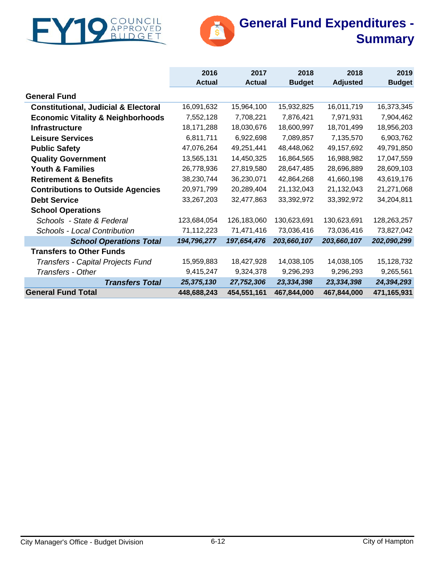



# **General Fund Expenditures - Summary**

|                                                 | 2016<br><b>Actual</b> | 2017<br><b>Actual</b> | 2018<br><b>Budget</b> | 2018<br><b>Adjusted</b> | 2019<br><b>Budget</b> |
|-------------------------------------------------|-----------------------|-----------------------|-----------------------|-------------------------|-----------------------|
| <b>General Fund</b>                             |                       |                       |                       |                         |                       |
| <b>Constitutional, Judicial &amp; Electoral</b> | 16,091,632            | 15,964,100            | 15,932,825            | 16,011,719              | 16,373,345            |
| <b>Economic Vitality &amp; Neighborhoods</b>    | 7,552,128             | 7,708,221             | 7,876,421             | 7,971,931               | 7,904,462             |
| <b>Infrastructure</b>                           | 18,171,288            | 18,030,676            | 18,600,997            | 18,701,499              | 18,956,203            |
| <b>Leisure Services</b>                         | 6,811,711             | 6,922,698             | 7,089,857             | 7,135,570               | 6,903,762             |
| <b>Public Safety</b>                            | 47,076,264            | 49,251,441            | 48,448,062            | 49,157,692              | 49,791,850            |
| <b>Quality Government</b>                       | 13,565,131            | 14,450,325            | 16,864,565            | 16,988,982              | 17,047,559            |
| <b>Youth &amp; Families</b>                     | 26,778,936            | 27,819,580            | 28,647,485            | 28,696,889              | 28,609,103            |
| <b>Retirement &amp; Benefits</b>                | 38,230,744            | 36,230,071            | 42,864,268            | 41,660,198              | 43,619,176            |
| <b>Contributions to Outside Agencies</b>        | 20,971,799            | 20,289,404            | 21,132,043            | 21,132,043              | 21,271,068            |
| <b>Debt Service</b>                             | 33,267,203            | 32,477,863            | 33,392,972            | 33,392,972              | 34,204,811            |
| <b>School Operations</b>                        |                       |                       |                       |                         |                       |
| Schools - State & Federal                       | 123,684,054           | 126,183,060           | 130,623,691           | 130,623,691             | 128,263,257           |
| <b>Schools - Local Contribution</b>             | 71,112,223            | 71,471,416            | 73,036,416            | 73,036,416              | 73,827,042            |
| <b>School Operations Total</b>                  | 194,796,277           | 197,654,476           | 203,660,107           | 203,660,107             | 202,090,299           |
| <b>Transfers to Other Funds</b>                 |                       |                       |                       |                         |                       |
| Transfers - Capital Projects Fund               | 15,959,883            | 18,427,928            | 14,038,105            | 14,038,105              | 15,128,732            |
| <b>Transfers - Other</b>                        | 9,415,247             | 9,324,378             | 9,296,293             | 9,296,293               | 9,265,561             |
| <b>Transfers Total</b>                          | 25,375,130            | 27,752,306            | 23,334,398            | 23,334,398              | 24,394,293            |
| <b>General Fund Total</b>                       | 448,688,243           | 454,551,161           | 467,844,000           | 467,844,000             | 471,165,931           |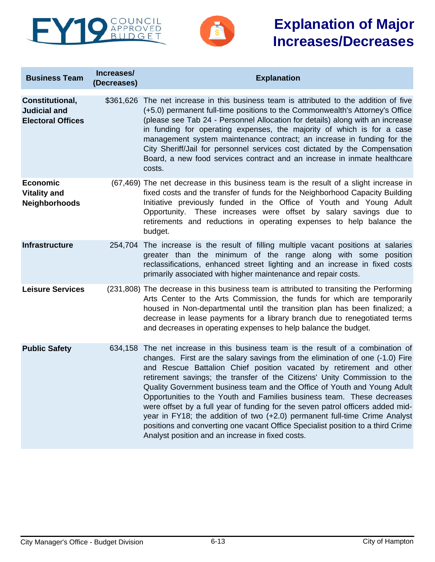



# **Explanation of Major Increases/Decreases**

| <b>Business Team</b>                                               | Increases/<br>(Decreases) | <b>Explanation</b>                                                                                                                                                                                                                                                                                                                                                                                                                                                                                                                                                                                                                                                                                                                                                                 |
|--------------------------------------------------------------------|---------------------------|------------------------------------------------------------------------------------------------------------------------------------------------------------------------------------------------------------------------------------------------------------------------------------------------------------------------------------------------------------------------------------------------------------------------------------------------------------------------------------------------------------------------------------------------------------------------------------------------------------------------------------------------------------------------------------------------------------------------------------------------------------------------------------|
| Constitutional,<br><b>Judicial and</b><br><b>Electoral Offices</b> |                           | \$361,626 The net increase in this business team is attributed to the addition of five<br>(+5.0) permanent full-time positions to the Commonwealth's Attorney's Office<br>(please see Tab 24 - Personnel Allocation for details) along with an increase<br>in funding for operating expenses, the majority of which is for a case<br>management system maintenance contract; an increase in funding for the<br>City Sheriff/Jail for personnel services cost dictated by the Compensation<br>Board, a new food services contract and an increase in inmate healthcare<br>costs.                                                                                                                                                                                                    |
| <b>Economic</b><br><b>Vitality and</b><br><b>Neighborhoods</b>     |                           | (67,469) The net decrease in this business team is the result of a slight increase in<br>fixed costs and the transfer of funds for the Neighborhood Capacity Building<br>Initiative previously funded in the Office of Youth and Young Adult<br>Opportunity. These increases were offset by salary savings due to<br>retirements and reductions in operating expenses to help balance the<br>budget.                                                                                                                                                                                                                                                                                                                                                                               |
| Infrastructure                                                     |                           | 254,704 The increase is the result of filling multiple vacant positions at salaries<br>greater than the minimum of the range along with some position<br>reclassifications, enhanced street lighting and an increase in fixed costs<br>primarily associated with higher maintenance and repair costs.                                                                                                                                                                                                                                                                                                                                                                                                                                                                              |
| <b>Leisure Services</b>                                            |                           | (231,808) The decrease in this business team is attributed to transiting the Performing<br>Arts Center to the Arts Commission, the funds for which are temporarily<br>housed in Non-departmental until the transition plan has been finalized; a<br>decrease in lease payments for a library branch due to renegotiated terms<br>and decreases in operating expenses to help balance the budget.                                                                                                                                                                                                                                                                                                                                                                                   |
| <b>Public Safety</b>                                               |                           | 634,158 The net increase in this business team is the result of a combination of<br>changes. First are the salary savings from the elimination of one (-1.0) Fire<br>and Rescue Battalion Chief position vacated by retirement and other<br>retirement savings; the transfer of the Citizens' Unity Commission to the<br>Quality Government business team and the Office of Youth and Young Adult<br>Opportunities to the Youth and Families business team. These decreases<br>were offset by a full year of funding for the seven patrol officers added mid-<br>year in FY18; the addition of two (+2.0) permanent full-time Crime Analyst<br>positions and converting one vacant Office Specialist position to a third Crime<br>Analyst position and an increase in fixed costs. |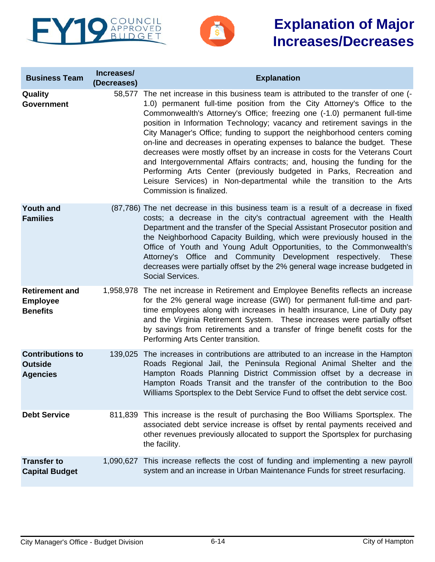



# **Explanation of Major Increases/Decreases**

| <b>Business Team</b>                                         | Increases/<br>(Decreases) | <b>Explanation</b>                                                                                                                                                                                                                                                                                                                                                                                                                                                                                                                                                                                                                                                                                                                                                                                                             |
|--------------------------------------------------------------|---------------------------|--------------------------------------------------------------------------------------------------------------------------------------------------------------------------------------------------------------------------------------------------------------------------------------------------------------------------------------------------------------------------------------------------------------------------------------------------------------------------------------------------------------------------------------------------------------------------------------------------------------------------------------------------------------------------------------------------------------------------------------------------------------------------------------------------------------------------------|
| Quality<br><b>Government</b>                                 |                           | 58,577 The net increase in this business team is attributed to the transfer of one (-<br>1.0) permanent full-time position from the City Attorney's Office to the<br>Commonwealth's Attorney's Office; freezing one (-1.0) permanent full-time<br>position in Information Technology; vacancy and retirement savings in the<br>City Manager's Office; funding to support the neighborhood centers coming<br>on-line and decreases in operating expenses to balance the budget. These<br>decreases were mostly offset by an increase in costs for the Veterans Court<br>and Intergovernmental Affairs contracts; and, housing the funding for the<br>Performing Arts Center (previously budgeted in Parks, Recreation and<br>Leisure Services) in Non-departmental while the transition to the Arts<br>Commission is finalized. |
| <b>Youth and</b><br><b>Families</b>                          |                           | (87,786) The net decrease in this business team is a result of a decrease in fixed<br>costs; a decrease in the city's contractual agreement with the Health<br>Department and the transfer of the Special Assistant Prosecutor position and<br>the Neighborhood Capacity Building, which were previously housed in the<br>Office of Youth and Young Adult Opportunities, to the Commonwealth's<br>Attorney's Office and Community Development respectively.<br><b>These</b><br>decreases were partially offset by the 2% general wage increase budgeted in<br>Social Services.                                                                                                                                                                                                                                                 |
| <b>Retirement and</b><br><b>Employee</b><br><b>Benefits</b>  |                           | 1,958,978 The net increase in Retirement and Employee Benefits reflects an increase<br>for the 2% general wage increase (GWI) for permanent full-time and part-<br>time employees along with increases in health insurance, Line of Duty pay<br>and the Virginia Retirement System. These increases were partially offset<br>by savings from retirements and a transfer of fringe benefit costs for the<br>Performing Arts Center transition.                                                                                                                                                                                                                                                                                                                                                                                  |
| <b>Contributions to</b><br><b>Outside</b><br><b>Agencies</b> |                           | 139,025 The increases in contributions are attributed to an increase in the Hampton<br>Roads Regional Jail, the Peninsula Regional Animal Shelter and the<br>Hampton Roads Planning District Commission offset by a decrease in<br>Hampton Roads Transit and the transfer of the contribution to the Boo<br>Williams Sportsplex to the Debt Service Fund to offset the debt service cost.                                                                                                                                                                                                                                                                                                                                                                                                                                      |
| <b>Debt Service</b>                                          |                           | 811,839 This increase is the result of purchasing the Boo Williams Sportsplex. The<br>associated debt service increase is offset by rental payments received and<br>other revenues previously allocated to support the Sportsplex for purchasing<br>the facility.                                                                                                                                                                                                                                                                                                                                                                                                                                                                                                                                                              |
| <b>Transfer to</b><br><b>Capital Budget</b>                  |                           | 1,090,627 This increase reflects the cost of funding and implementing a new payroll<br>system and an increase in Urban Maintenance Funds for street resurfacing.                                                                                                                                                                                                                                                                                                                                                                                                                                                                                                                                                                                                                                                               |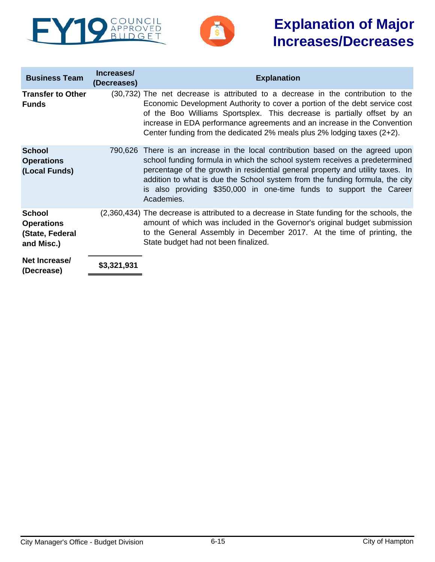



| <b>Business Team</b>                                                | Increases/<br>(Decreases) | <b>Explanation</b>                                                                                                                                                                                                                                                                                                                                                                                                   |
|---------------------------------------------------------------------|---------------------------|----------------------------------------------------------------------------------------------------------------------------------------------------------------------------------------------------------------------------------------------------------------------------------------------------------------------------------------------------------------------------------------------------------------------|
| <b>Transfer to Other</b><br><b>Funds</b>                            |                           | (30,732) The net decrease is attributed to a decrease in the contribution to the<br>Economic Development Authority to cover a portion of the debt service cost<br>of the Boo Williams Sportsplex. This decrease is partially offset by an<br>increase in EDA performance agreements and an increase in the Convention<br>Center funding from the dedicated 2% meals plus $2\%$ lodging taxes ( $2+2$ ).              |
| <b>School</b><br><b>Operations</b><br>(Local Funds)                 |                           | 790,626 There is an increase in the local contribution based on the agreed upon<br>school funding formula in which the school system receives a predetermined<br>percentage of the growth in residential general property and utility taxes. In<br>addition to what is due the School system from the funding formula, the city<br>is also providing \$350,000 in one-time funds to support the Career<br>Academies. |
| <b>School</b><br><b>Operations</b><br>(State, Federal<br>and Misc.) |                           | (2,360,434) The decrease is attributed to a decrease in State funding for the schools, the<br>amount of which was included in the Governor's original budget submission<br>to the General Assembly in December 2017. At the time of printing, the<br>State budget had not been finalized.                                                                                                                            |
| Net Increase/<br>(Decrease)                                         | \$3,321,931               |                                                                                                                                                                                                                                                                                                                                                                                                                      |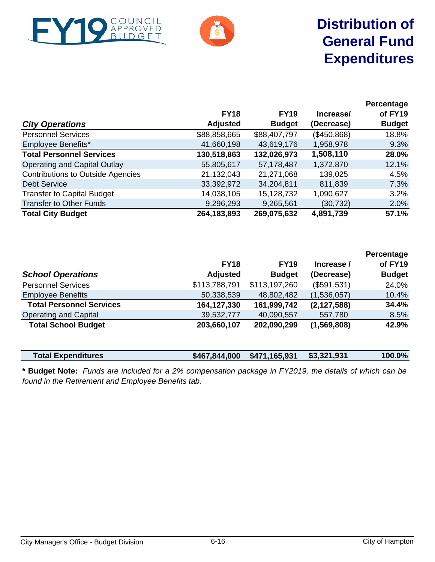



# **Distribution of General Fund Expenditures**

|                                          |                 |               |             | Percentage    |
|------------------------------------------|-----------------|---------------|-------------|---------------|
|                                          | <b>FY18</b>     | <b>FY19</b>   | Increase/   | of FY19       |
| <b>City Operations</b>                   | <b>Adjusted</b> | <b>Budget</b> | (Decrease)  | <b>Budget</b> |
| <b>Personnel Services</b>                | \$88,858,665    | \$88,407,797  | (\$450,868) | 18.8%         |
| Employee Benefits*                       | 41,660,198      | 43,619,176    | 1,958,978   | 9.3%          |
| <b>Total Personnel Services</b>          | 130,518,863     | 132,026,973   | 1,508,110   | 28.0%         |
| Operating and Capital Outlay             | 55,805,617      | 57,178,487    | 1,372,870   | 12.1%         |
| <b>Contributions to Outside Agencies</b> | 21,132,043      | 21,271,068    | 139,025     | 4.5%          |
| <b>Debt Service</b>                      | 33,392,972      | 34,204,811    | 811,839     | 7.3%          |
| <b>Transfer to Capital Budget</b>        | 14,038,105      | 15,128,732    | 1,090,627   | 3.2%          |
| <b>Transfer to Other Funds</b>           | 9,296,293       | 9,265,561     | (30, 732)   | 2.0%          |
| <b>Total City Budget</b>                 | 264,183,893     | 269,075,632   | 4,891,739   | 57.1%         |

|                                 |                 |               |               | Percentage    |
|---------------------------------|-----------------|---------------|---------------|---------------|
|                                 | <b>FY18</b>     | <b>FY19</b>   | Increase /    | of FY19       |
| <b>School Operations</b>        | <b>Adjusted</b> | <b>Budget</b> | (Decrease)    | <b>Budget</b> |
| <b>Personnel Services</b>       | \$113,788,791   | \$113,197,260 | (\$591,531)   | 24.0%         |
| <b>Employee Benefits</b>        | 50,338,539      | 48,802,482    | (1,536,057)   | 10.4%         |
| <b>Total Personnel Services</b> | 164,127,330     | 161,999,742   | (2, 127, 588) | 34.4%         |
| <b>Operating and Capital</b>    | 39,532,777      | 40,090,557    | 557,780       | 8.5%          |
| <b>Total School Budget</b>      | 203,660,107     | 202,090,299   | (1,569,808)   | 42.9%         |

**\* Budget Note:** *Funds are included for a 2% compensation package in FY2019, the details of which can be*

**Total Expenditures \$467,844,000 \$471,165,931 \$3,321,931 100.0%**

*found in the Retirement and Employee Benefits tab.*